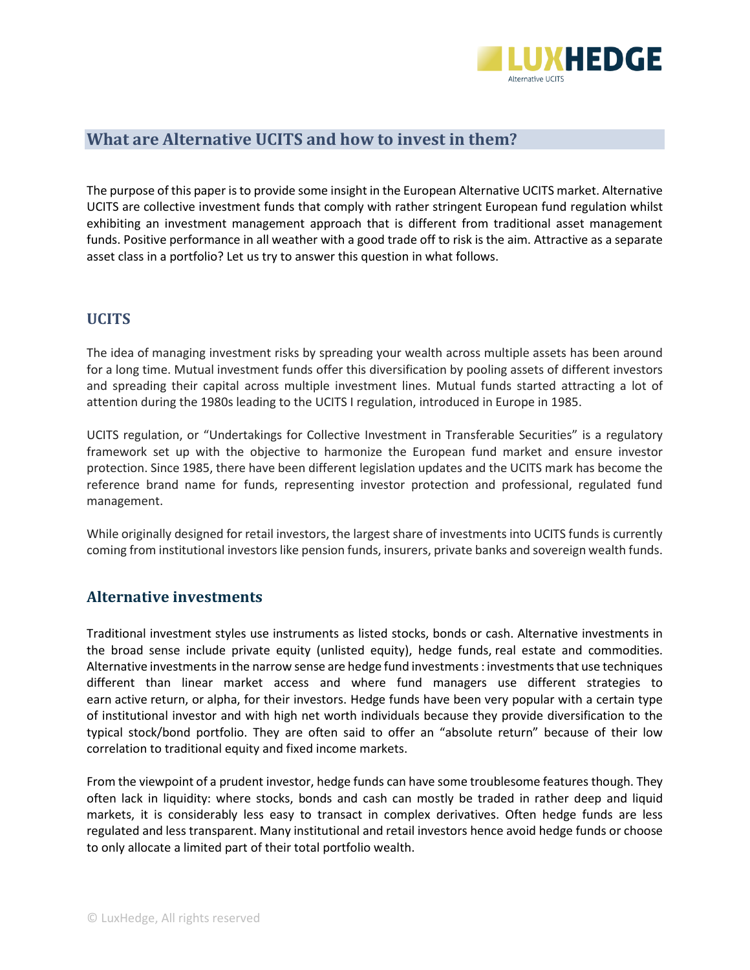

## **What are Alternative UCITS and how to invest in them?**

The purpose of this paper is to provide some insight in the European Alternative UCITS market. Alternative UCITS are collective investment funds that comply with rather stringent European fund regulation whilst exhibiting an investment management approach that is different from traditional asset management funds. Positive performance in all weather with a good trade off to risk is the aim. Attractive as a separate asset class in a portfolio? Let us try to answer this question in what follows.

#### **UCITS**

The idea of managing investment risks by spreading your wealth across multiple assets has been around for a long time. Mutual investment funds offer this diversification by pooling assets of different investors and spreading their capital across multiple investment lines. Mutual funds started attracting a lot of attention during the 1980s leading to the UCITS I regulation, introduced in Europe in 1985.

UCITS regulation, or "Undertakings for Collective Investment in Transferable Securities" is a regulatory framework set up with the objective to harmonize the European fund market and ensure investor protection. Since 1985, there have been different legislation updates and the UCITS mark has become the reference brand name for funds, representing investor protection and professional, regulated fund management.

While originally designed for retail investors, the largest share of investments into UCITS funds is currently coming from institutional investors like pension funds, insurers, private banks and sovereign wealth funds.

#### **Alternative investments**

Traditional investment styles use instruments as listed stocks, bonds or cash. Alternative investments in the broad sense include private equity (unlisted equity), hedge funds, real estate and commodities. Alternative investmentsin the narrow sense are hedge fund investments : investments that use techniques different than linear market access and where fund managers use different strategies to earn active [return,](http://www.investopedia.com/terms/h/www.investopedia.com/terms/a/active-return.asp) or [alpha,](http://www.investopedia.com/terms/a/alpha.asp) for their investors. Hedge funds have been very popular with a certain type of institutional investor and with high net worth individuals because they provide diversification to the typical stock/bond portfolio. They are often said to offer an "absolute return" because of their low correlation to traditional equity and fixed income markets.

From the viewpoint of a prudent investor, hedge funds can have some troublesome features though. They often lack in liquidity: where stocks, bonds and cash can mostly be traded in rather deep and liquid markets, it is considerably less easy to transact in complex derivatives. Often hedge funds are less regulated and less transparent. Many institutional and retail investors hence avoid hedge funds or choose to only allocate a limited part of their total portfolio wealth.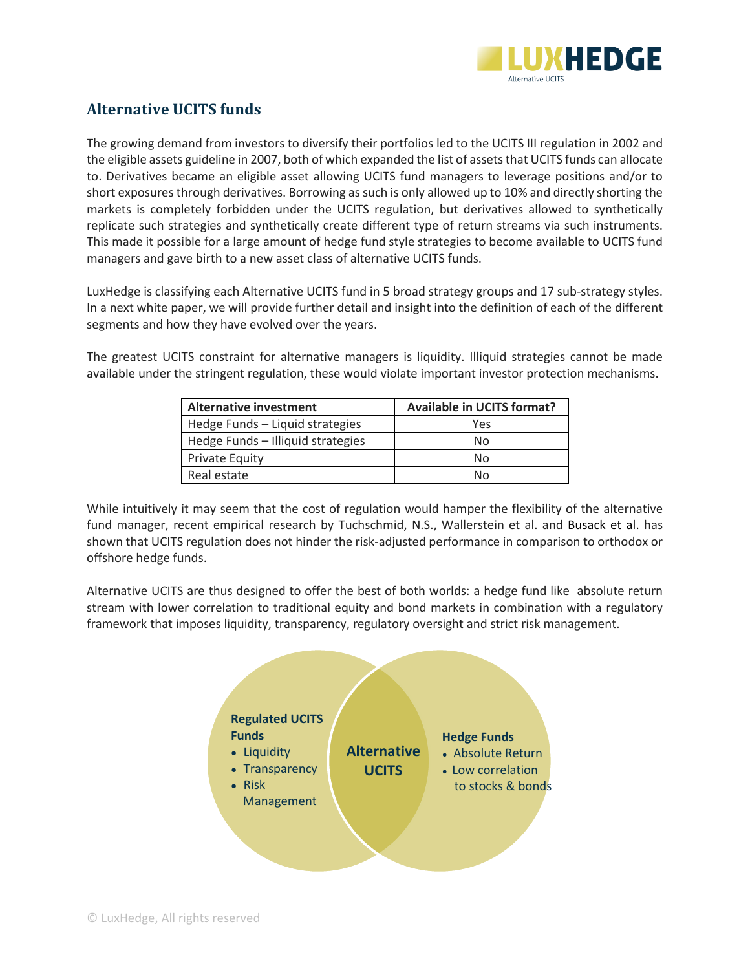

# **Alternative UCITS funds**

The growing demand from investors to diversify their portfolios led to the UCITS III regulation in 2002 and the eligible assets guideline in 2007, both of which expanded the list of assets that UCITS funds can allocate to. Derivatives became an eligible asset allowing UCITS fund managers to leverage positions and/or to short exposures through derivatives. Borrowing as such is only allowed up to 10% and directly shorting the markets is completely forbidden under the UCITS regulation, but derivatives allowed to synthetically replicate such strategies and synthetically create different type of return streams via such instruments. This made it possible for a large amount of hedge fund style strategies to become available to UCITS fund managers and gave birth to a new asset class of alternative UCITS funds.

LuxHedge is classifying each Alternative UCITS fund in 5 broad strategy groups and 17 sub-strategy styles. In a next white paper, we will provide further detail and insight into the definition of each of the different segments and how they have evolved over the years.

The greatest UCITS constraint for alternative managers is liquidity. Illiquid strategies cannot be made available under the stringent regulation, these would violate important investor protection mechanisms.

| <b>Alternative investment</b>     | <b>Available in UCITS format?</b> |
|-----------------------------------|-----------------------------------|
| Hedge Funds - Liquid strategies   | Yes                               |
| Hedge Funds - Illiquid strategies | No                                |
| <b>Private Equity</b>             | Nο                                |
| Real estate                       | N٥                                |

While intuitively it may seem that the cost of regulation would hamper the flexibility of the alternative fund manager, recent empirical research by Tuchschmid, N.S., Wallerstein et al. and Busack et al. has shown that UCITS regulation does not hinder the risk-adjusted performance in comparison to orthodox or offshore hedge funds.

Alternative UCITS are thus designed to offer the best of both worlds: a hedge fund like absolute return stream with lower correlation to traditional equity and bond markets in combination with a regulatory framework that imposes liquidity, transparency, regulatory oversight and strict risk management.

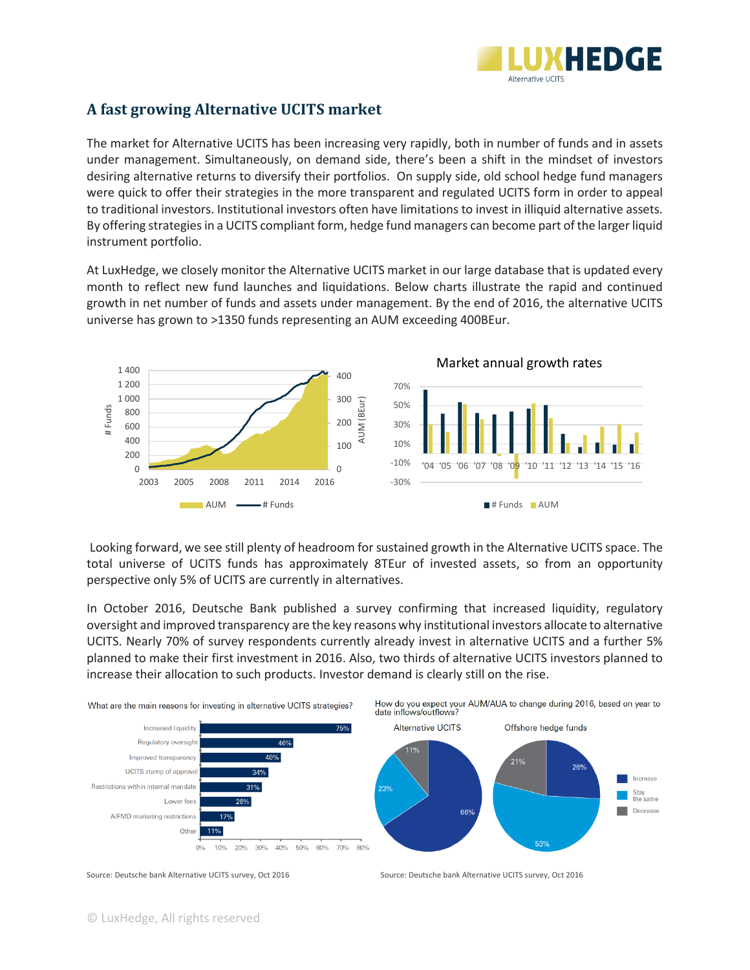

## **A fast growing Alternative UCITS market**

The market for Alternative UCITS has been increasing very rapidly, both in number of funds and in assets under management. Simultaneously, on demand side, there's been a shift in the mindset of investors desiring alternative returns to diversify their portfolios. On supply side, old school hedge fund managers were quick to offer their strategies in the more transparent and regulated UCITS form in order to appeal to traditional investors. Institutional investors often have limitations to invest in illiquid alternative assets. By offering strategies in a UCITS compliant form, hedge fund managers can become part of the larger liquid instrument portfolio.

At LuxHedge, we closely monitor the Alternative UCITS market in our large database that is updated every month to reflect new fund launches and liquidations. Below charts illustrate the rapid and continued growth in net number of funds and assets under management. By the end of 2016, the alternative UCITS universe has grown to >1350 funds representing an AUM exceeding 400BEur.



Looking forward, we see still plenty of headroom for sustained growth in the Alternative UCITS space. The total universe of UCITS funds has approximately 8TEur of invested assets, so from an opportunity perspective only 5% of UCITS are currently in alternatives.

In October 2016, Deutsche Bank published a survey confirming that increased liquidity, regulatory oversight and improved transparency are the key reasons why institutional investors allocate to alternative UCITS. Nearly 70% of survey respondents currently already invest in alternative UCITS and a further 5% planned to make their first investment in 2016. Also, two thirds of alternative UCITS investors planned to increase their allocation to such products. Investor demand is clearly still on the rise.



Source: Deutsche bank Alternative UCITS survey, Oct 2016 Source: Deutsche bank Alternative UCITS survey, Oct 2016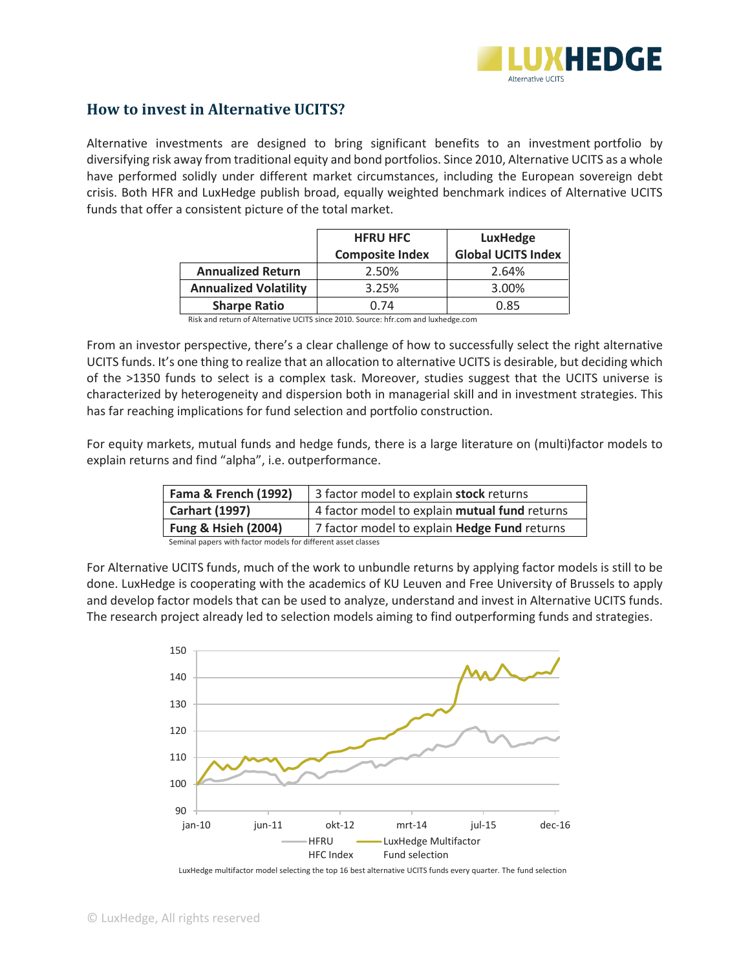

#### **How to invest in Alternative UCITS?**

Al[ternative investments a](http://www.investopedia.com/terms/a/alternativeassets.asp)re designed to bring significant benefits to an investment portfolio by diversifying risk away from traditional equity and bond portfolios. Since 2010, Alternative UCITS as a whole have performed solidly under different market circumstances, including the European sovereign debt crisis. Both HFR and LuxHedge publish broad, equally weighted benchmark indices of Alternative UCITS funds that offer a consistent picture of the total market.

|                              | <b>HFRU HFC</b>        | LuxHedge                  |
|------------------------------|------------------------|---------------------------|
|                              | <b>Composite Index</b> | <b>Global UCITS Index</b> |
| <b>Annualized Return</b>     | 2.50%                  | 2.64%                     |
| <b>Annualized Volatility</b> | 3.25%                  | 3.00%                     |
| <b>Sharpe Ratio</b>          | 0.74                   | 0.85                      |

Risk and return of Alternative UCITS since 2010. Source: hfr.com and luxhedge.com

From an investor perspective, there's a clear challenge of how to successfully select the right alternative UCITS funds. It's one thing to realize that an allocation to alternative UCITS is desirable, but deciding which of the >1350 funds to select is a complex task. Moreover, studies suggest that the UCITS universe is characterized by heterogeneity and dispersion both in managerial skill and in investment strategies. This has far reaching implications for fund selection and portfolio construction.

For equity markets, mutual funds and hedge funds, there is a large literature on (multi)factor models to explain returns and find "alpha", i.e. outperformance.

| <b>Fama &amp; French (1992)</b>                               | 3 factor model to explain stock returns       |
|---------------------------------------------------------------|-----------------------------------------------|
| <b>Carhart (1997)</b>                                         | 4 factor model to explain mutual fund returns |
| <b>Fung &amp; Hsieh (2004)</b>                                | 7 factor model to explain Hedge Fund returns  |
| Seminal papers with factor models for different asset classes |                                               |

Seminal papers with factor models for different asset classes

For Alternative UCITS funds, much of the work to unbundle returns by applying factor models is still to be done. LuxHedge is cooperating with the academics of KU Leuven and Free University of Brussels to apply and develop factor models that can be used to analyze, understand and invest in Alternative UCITS funds. The research project already led to selection models aiming to find outperforming funds and strategies.



LuxHedge multifactor model selecting the top 16 best alternative UCITS funds every quarter. The fund selection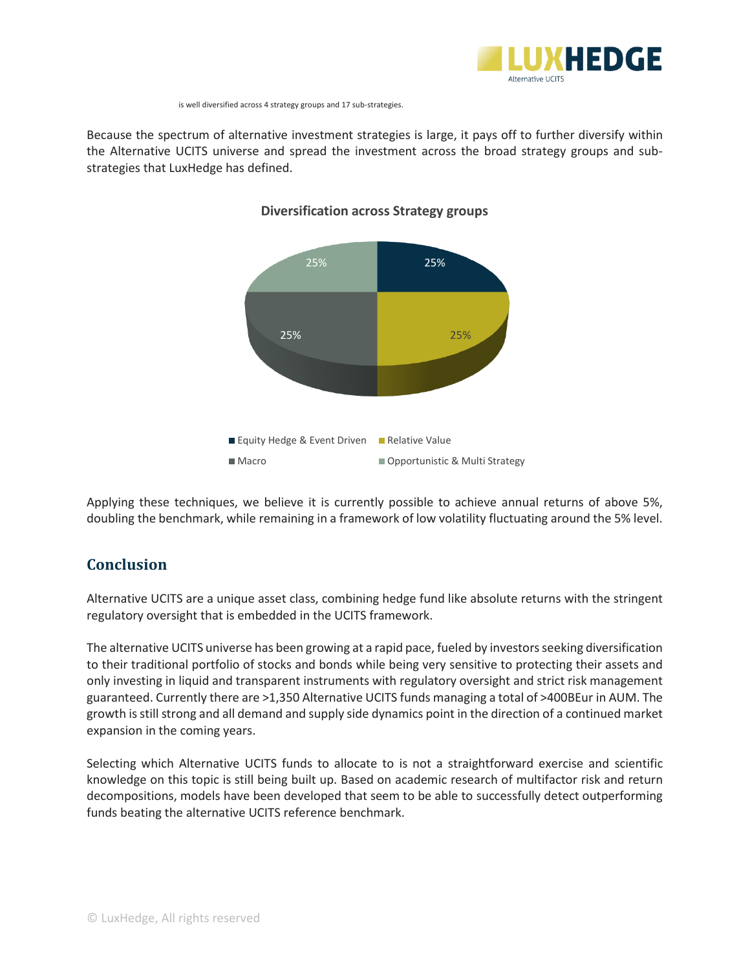

is well diversified across 4 strategy groups and 17 sub-strategies.

Because the spectrum of alternative investment strategies is large, it pays off to further diversify within the Alternative UCITS universe and spread the investment across the broad strategy groups and substrategies that LuxHedge has defined.



#### **Diversification across Strategy groups**

Applying these techniques, we believe it is currently possible to achieve annual returns of above 5%, doubling the benchmark, while remaining in a framework of low volatility fluctuating around the 5% level.

# **Conclusion**

Alternative UCITS are a unique asset class, combining hedge fund like absolute returns with the stringent regulatory oversight that is embedded in the UCITS framework.

The alternative UCITS universe has been growing at a rapid pace, fueled by investors seeking diversification to their traditional portfolio of stocks and bonds while being very sensitive to protecting their assets and only investing in liquid and transparent instruments with regulatory oversight and strict risk management guaranteed. Currently there are >1,350 Alternative UCITS funds managing a total of >400BEur in AUM. The growth is still strong and all demand and supply side dynamics point in the direction of a continued market expansion in the coming years.

Selecting which Alternative UCITS funds to allocate to is not a straightforward exercise and scientific knowledge on this topic is still being built up. Based on academic research of multifactor risk and return decompositions, models have been developed that seem to be able to successfully detect outperforming funds beating the alternative UCITS reference benchmark.